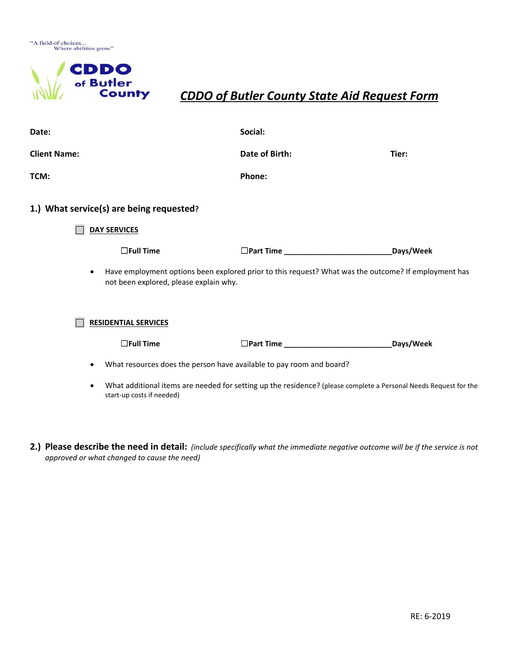

## *CDDO of Butler County State Aid Request Form*

| Date:                                    | Social:                                                                                                                                        |           |
|------------------------------------------|------------------------------------------------------------------------------------------------------------------------------------------------|-----------|
| <b>Client Name:</b>                      | Date of Birth:                                                                                                                                 | Tier:     |
| TCM:                                     | Phone:                                                                                                                                         |           |
| 1.) What service(s) are being requested? |                                                                                                                                                |           |
| <b>DAY SERVICES</b>                      |                                                                                                                                                |           |
| $\Box$ Full Time                         | $\Box$ Part Time                                                                                                                               | Days/Week |
| $\bullet$                                | Have employment options been explored prior to this request? What was the outcome? If employment has<br>not been explored, please explain why. |           |
| <b>RESIDENTIAL SERVICES</b>              |                                                                                                                                                |           |
| $\Box$ Full Time                         |                                                                                                                                                | Days/Week |
| $\bullet$                                | What resources does the person have available to pay room and board?                                                                           |           |
| $\bullet$<br>start-up costs if needed)   | What additional items are needed for setting up the residence? (please complete a Personal Needs Request for the                               |           |

2.) Please describe the need in detail: (include specifically what the immediate negative outcome will be if the service is not *approved or what changed to cause the need)*